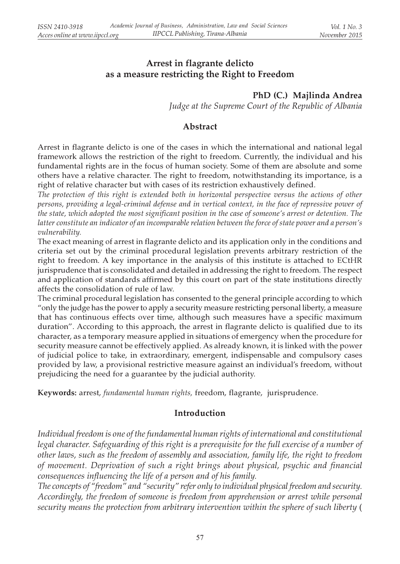## Arrest in flagrante delicto as a measure restricting the Right to Freedom

### PhD (C.) Majlinda Andrea

Judge at the Supreme Court of the Republic of Albania

#### Abstract

Arrest in flagrante delicto is one of the cases in which the international and national legal framework allows the restriction of the right to freedom. Currently, the individual and his fundamental rights are in the focus of human society. Some of them are absolute and some others have a relative character. The right to freedom, notwithstanding its importance, is a right of relative character but with cases of its restriction exhaustively defined.

The protection of this right is extended both in horizontal perspective versus the actions of other persons, providing a legal-criminal defense and in vertical context, in the face of repressive power of the state, which adopted the most significant position in the case of someone's arrest or detention. The latter constitute an indicator of an incomparable relation between the force of state power and a person's vulnerability.

The exact meaning of arrest in flagrante delicto and its application only in the conditions and criteria set out by the criminal procedural legislation prevents arbitrary restriction of the right to freedom. A key importance in the analysis of this institute is attached to ECtHR jurisprudence that is consolidated and detailed in addressing the right to freedom. The respect and application of standards affirmed by this court on part of the state institutions directly affects the consolidation of rule of law.

The criminal procedural legislation has consented to the general principle according to which "only the judge has the power to apply a security measure restricting personal liberty, a measure that has continuous effects over time, although such measures have a specific maximum duration". According to this approach, the arrest in flagrante delicto is qualified due to its character, as a temporary measure applied in situations of emergency when the procedure for security measure cannot be effectively applied. As already known, it is linked with the power of judicial police to take, in extraordinary, emergent, indispensable and compulsory cases provided by law, a provisional restrictive measure against an individual's freedom, without prejudicing the need for a guarantee by the judicial authority.

Keywords: arrest, fundamental human rights, freedom, flagrante, jurisprudence.

### Introduction

Individual freedom is one of the fundamental human rights of international and constitutional legal character. Safeguarding of this right is a prerequisite for the full exercise of a number of other laws, such as the freedom of assembly and association, family life, the right to freedom of movement. Deprivation of such a right brings about physical, psychic and financial consequences influencing the life of a person and of his family.

The concepts of "freedom" and "security" refer only to individual physical freedom and security. Accordingly, the freedom of someone is freedom from apprehension or arrest while personal security means the protection from arbitrary intervention within the sphere of such liberty (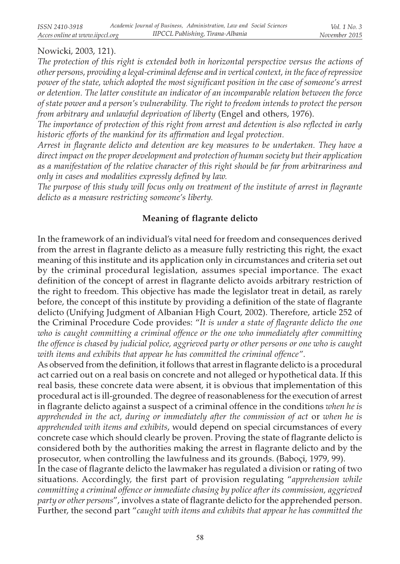### Nowicki, 2003, 121).

The protection of this right is extended both in horizontal perspective versus the actions of other persons, providing a legal-criminal defense and in vertical context, in the face of repressive power of the state, which adopted the most significant position in the case of someone's arrest or detention. The latter constitute an indicator of an incomparable relation between the force of state power and a person's vulnerability. The right to freedom intends to protect the person from arbitrary and unlawful deprivation of liberty (Engel and others, 1976).

The importance of protection of this right from arrest and detention is also reflected in early historic efforts of the mankind for its affirmation and legal protection.

Arrest in flagrante delicto and detention are key measures to be undertaken. They have a direct impact on the proper development and protection of human society but their application as a manifestation of the relative character of this right should be far from arbitrariness and only in cases and modalities expressly defined by law.

The purpose of this study will focus only on treatment of the institute of arrest in flagrante delicto as a measure restricting someone's liberty.

### Meaning of flagrante delicto

In the framework of an individual's vital need for freedom and consequences derived from the arrest in flagrante delicto as a measure fully restricting this right, the exact meaning of this institute and its application only in circumstances and criteria set out by the criminal procedural legislation, assumes special importance. The exact definition of the concept of arrest in flagrante delicto avoids arbitrary restriction of the right to freedom. This objective has made the legislator treat in detail, as rarely before, the concept of this institute by providing a definition of the state of flagrante delicto (Unifying Judgment of Albanian High Court, 2002). Therefore, article 252 of the Criminal Procedure Code provides: "It is under a state of flagrante delicto the one who is caught committing a criminal offence or the one who immediately after committing the offence is chased by judicial police, aggrieved party or other persons or one who is caught with items and exhibits that appear he has committed the criminal offence".

As observed from the definition, it follows that arrest in flagrante delicto is a procedural act carried out on a real basis on concrete and not alleged or hypothetical data. If this real basis, these concrete data were absent, it is obvious that implementation of this procedural act is ill-grounded. The degree of reasonableness for the execution of arrest in flagrante delicto against a suspect of a criminal offence in the conditions when he is apprehended in the act, during or immediately after the commission of act or when he is apprehended with items and exhibits, would depend on special circumstances of every concrete case which should clearly be proven. Proving the state of flagrante delicto is considered both by the authorities making the arrest in flagrante delicto and by the prosecutor, when controlling the lawfulness and its grounds. (Baboçi, 1979, 99).

In the case of flagrante delicto the lawmaker has regulated a division or rating of two situations. Accordingly, the first part of provision regulating "apprehension while committing a criminal offence or immediate chasing by police after its commission, aggrieved party or other persons", involves a state of flagrante delicto for the apprehended person. Further, the second part "caught with items and exhibits that appear he has committed the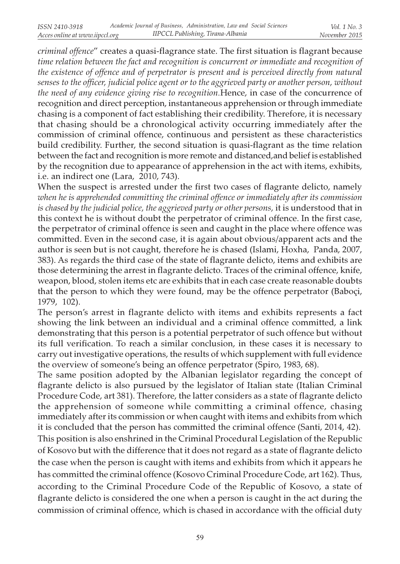criminal offence" creates a quasi-flagrance state. The first situation is flagrant because time relation between the fact and recognition is concurrent or immediate and recognition of the existence of offence and of perpetrator is present and is perceived directly from natural senses to the officer, judicial police agent or to the aggrieved party or another person, without the need of any evidence giving rise to recognition.Hence, in case of the concurrence of recognition and direct perception, instantaneous apprehension or through immediate chasing is a component of fact establishing their credibility. Therefore, it is necessary that chasing should be a chronological activity occurring immediately after the commission of criminal offence, continuous and persistent as these characteristics build credibility. Further, the second situation is quasi-flagrant as the time relation between the fact and recognition is more remote and distanced,and belief is established by the recognition due to appearance of apprehension in the act with items, exhibits, i.e. an indirect one (Lara, 2010, 743).

When the suspect is arrested under the first two cases of flagrante delicto, namely when he is apprehended committing the criminal offence or immediately after its commission is chased by the judicial police, the aggrieved party or other persons, it is understood that in this context he is without doubt the perpetrator of criminal offence. In the first case, the perpetrator of criminal offence is seen and caught in the place where offence was committed. Even in the second case, it is again about obvious/apparent acts and the author is seen but is not caught, therefore he is chased (Islami, Hoxha, Panda, 2007, 383). As regards the third case of the state of flagrante delicto, items and exhibits are those determining the arrest in flagrante delicto. Traces of the criminal offence, knife, weapon, blood, stolen items etc are exhibits that in each case create reasonable doubts that the person to which they were found, may be the offence perpetrator (Baboçi, 1979, 102).

The person's arrest in flagrante delicto with items and exhibits represents a fact showing the link between an individual and a criminal offence committed, a link demonstrating that this person is a potential perpetrator of such offence but without its full verification. To reach a similar conclusion, in these cases it is necessary to carry out investigative operations, the results of which supplement with full evidence the overview of someone's being an offence perpetrator (Spiro, 1983, 68).

The same position adopted by the Albanian legislator regarding the concept of flagrante delicto is also pursued by the legislator of Italian state (Italian Criminal Procedure Code, art 381). Therefore, the latter considers as a state of flagrante delicto the apprehension of someone while committing a criminal offence, chasing immediately after its commission or when caught with items and exhibits from which it is concluded that the person has committed the criminal offence (Santi, 2014, 42).

This position is also enshrined in the Criminal Procedural Legislation of the Republic of Kosovo but with the difference that it does not regard as a state of flagrante delicto the case when the person is caught with items and exhibits from which it appears he has committed the criminal offence (Kosovo Criminal Procedure Code, art 162). Thus, according to the Criminal Procedure Code of the Republic of Kosovo, a state of flagrante delicto is considered the one when a person is caught in the act during the commission of criminal offence, which is chased in accordance with the official duty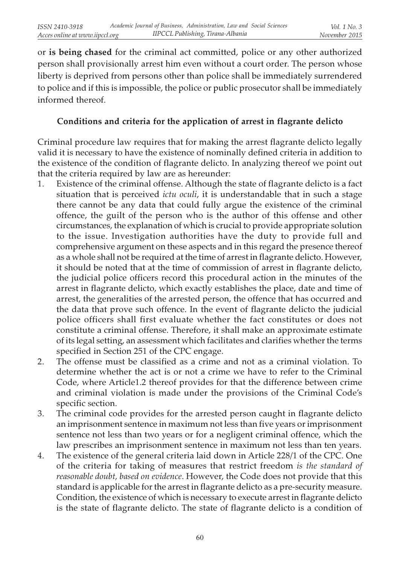or is being chased for the criminal act committed, police or any other authorized person shall provisionally arrest him even without a court order. The person whose liberty is deprived from persons other than police shall be immediately surrendered to police and if this is impossible, the police or public prosecutor shall be immediately informed thereof.

# Conditions and criteria for the application of arrest in flagrante delicto

Criminal procedure law requires that for making the arrest flagrante delicto legally valid it is necessary to have the existence of nominally defined criteria in addition to the existence of the condition of flagrante delicto. In analyzing thereof we point out that the criteria required by law are as hereunder:

- 1. Existence of the criminal offense. Although the state of flagrante delicto is a fact situation that is perceived *ictu oculi*, it is understandable that in such a stage there cannot be any data that could fully argue the existence of the criminal offence, the guilt of the person who is the author of this offense and other circumstances, the explanation of which is crucial to provide appropriate solution to the issue. Investigation authorities have the duty to provide full and comprehensive argument on these aspects and in this regard the presence thereof as a whole shall not be required at the time of arrest in flagrante delicto. However, it should be noted that at the time of commission of arrest in flagrante delicto, the judicial police officers record this procedural action in the minutes of the arrest in flagrante delicto, which exactly establishes the place, date and time of arrest, the generalities of the arrested person, the offence that has occurred and the data that prove such offence. In the event of flagrante delicto the judicial police officers shall first evaluate whether the fact constitutes or does not constitute a criminal offense. Therefore, it shall make an approximate estimate of its legal setting, an assessment which facilitates and clarifies whether the terms specified in Section 251 of the CPC engage.
- 2. The offense must be classified as a crime and not as a criminal violation. To determine whether the act is or not a crime we have to refer to the Criminal Code, where Article1.2 thereof provides for that the difference between crime and criminal violation is made under the provisions of the Criminal Code's specific section.
- 3. The criminal code provides for the arrested person caught in flagrante delicto an imprisonment sentence in maximum not less than five years or imprisonment sentence not less than two years or for a negligent criminal offence, which the law prescribes an imprisonment sentence in maximum not less than ten years.
- 4. The existence of the general criteria laid down in Article 228/1 of the CPC. One of the criteria for taking of measures that restrict freedom is the standard of reasonable doubt, based on evidence. However, the Code does not provide that this standard is applicable for the arrest in flagrante delicto as a pre-security measure. Condition, the existence of which is necessary to execute arrest in flagrante delicto is the state of flagrante delicto. The state of flagrante delicto is a condition of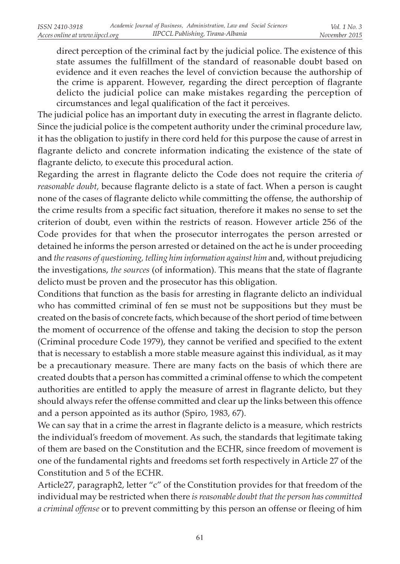direct perception of the criminal fact by the judicial police. The existence of this state assumes the fulfillment of the standard of reasonable doubt based on evidence and it even reaches the level of conviction because the authorship of the crime is apparent. However, regarding the direct perception of flagrante delicto the judicial police can make mistakes regarding the perception of circumstances and legal qualification of the fact it perceives.

The judicial police has an important duty in executing the arrest in flagrante delicto. Since the judicial police is the competent authority under the criminal procedure law, it has the obligation to justify in there cord held for this purpose the cause of arrest in flagrante delicto and concrete information indicating the existence of the state of flagrante delicto, to execute this procedural action.

Regarding the arrest in flagrante delicto the Code does not require the criteria of reasonable doubt, because flagrante delicto is a state of fact. When a person is caught none of the cases of flagrante delicto while committing the offense, the authorship of the crime results from a specific fact situation, therefore it makes no sense to set the criterion of doubt, even within the restricts of reason. However article 256 of the Code provides for that when the prosecutor interrogates the person arrested or detained he informs the person arrested or detained on the act he is under proceeding and the reasons of questioning, telling him information against him and, without prejudicing the investigations, the sources (of information). This means that the state of flagrante delicto must be proven and the prosecutor has this obligation.

Conditions that function as the basis for arresting in flagrante delicto an individual who has committed criminal of fen se must not be suppositions but they must be created on the basis of concrete facts, which because of the short period of time between the moment of occurrence of the offense and taking the decision to stop the person (Criminal procedure Code 1979), they cannot be verified and specified to the extent that is necessary to establish a more stable measure against this individual, as it may be a precautionary measure. There are many facts on the basis of which there are created doubts that a person has committed a criminal offense to which the competent authorities are entitled to apply the measure of arrest in flagrante delicto, but they should always refer the offense committed and clear up the links between this offence and a person appointed as its author (Spiro, 1983, 67).

We can say that in a crime the arrest in flagrante delicto is a measure, which restricts the individual's freedom of movement. As such, the standards that legitimate taking of them are based on the Constitution and the ECHR, since freedom of movement is one of the fundamental rights and freedoms set forth respectively in Article 27 of the Constitution and 5 of the ECHR.

Article27, paragraph2, letter "c" of the Constitution provides for that freedom of the individual may be restricted when there is reasonable doubt that the person has committed a criminal offense or to prevent committing by this person an offense or fleeing of him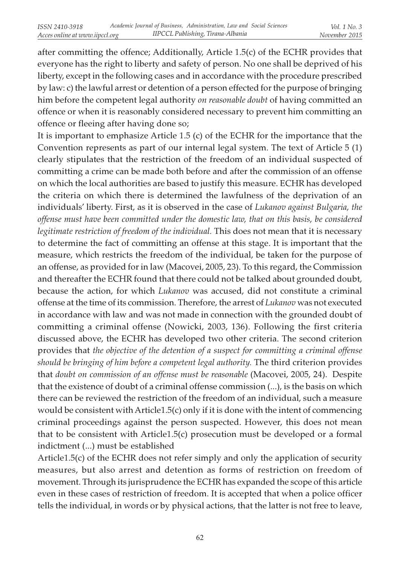after committing the offence; Additionally, Article 1.5(c) of the ECHR provides that everyone has the right to liberty and safety of person. No one shall be deprived of his liberty, except in the following cases and in accordance with the procedure prescribed by law: c) the lawful arrest or detention of a person effected for the purpose of bringing him before the competent legal authority *on reasonable doubt* of having committed an offence or when it is reasonably considered necessary to prevent him committing an offence or fleeing after having done so;

It is important to emphasize Article 1.5 (c) of the ECHR for the importance that the Convention represents as part of our internal legal system. The text of Article 5 (1) clearly stipulates that the restriction of the freedom of an individual suspected of committing a crime can be made both before and after the commission of an offense on which the local authorities are based to justify this measure. ECHR has developed the criteria on which there is determined the lawfulness of the deprivation of an individuals' liberty. First, as it is observed in the case of Lukanov against Bulgaria, the offense must have been committed under the domestic law, that on this basis, be considered legitimate restriction of freedom of the individual. This does not mean that it is necessary to determine the fact of committing an offense at this stage. It is important that the measure, which restricts the freedom of the individual, be taken for the purpose of an offense, as provided for in law (Macovei, 2005, 23). To this regard, the Commission and thereafter the ECHR found that there could not be talked about grounded doubt, because the action, for which *Lukanov* was accused, did not constitute a criminal offense at the time of its commission. Therefore, the arrest of Lukanov was not executed in accordance with law and was not made in connection with the grounded doubt of committing a criminal offense (Nowicki, 2003, 136). Following the first criteria discussed above, the ECHR has developed two other criteria. The second criterion provides that the objective of the detention of a suspect for committing a criminal offense should be bringing of him before a competent legal authority. The third criterion provides that doubt on commission of an offense must be reasonable (Macovei, 2005, 24). Despite that the existence of doubt of a criminal offense commission (...), is the basis on which there can be reviewed the restriction of the freedom of an individual, such a measure would be consistent with Article1.5(c) only if it is done with the intent of commencing criminal proceedings against the person suspected. However, this does not mean that to be consistent with Article1.5(c) prosecution must be developed or a formal indictment (...) must be established

Article1.5(c) of the ECHR does not refer simply and only the application of security measures, but also arrest and detention as forms of restriction on freedom of movement. Through its jurisprudence the ECHR has expanded the scope of this article even in these cases of restriction of freedom. It is accepted that when a police officer tells the individual, in words or by physical actions, that the latter is not free to leave,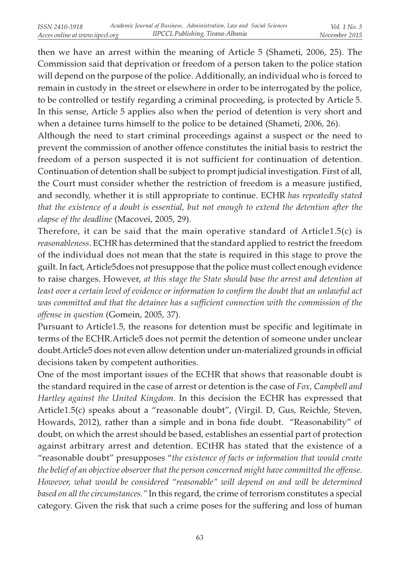then we have an arrest within the meaning of Article 5 (Shameti, 2006, 25). The Commission said that deprivation or freedom of a person taken to the police station will depend on the purpose of the police. Additionally, an individual who is forced to remain in custody in the street or elsewhere in order to be interrogated by the police, to be controlled or testify regarding a criminal proceeding, is protected by Article 5. In this sense, Article 5 applies also when the period of detention is very short and when a detainee turns himself to the police to be detained (Shameti, 2006, 26).

Although the need to start criminal proceedings against a suspect or the need to prevent the commission of another offence constitutes the initial basis to restrict the freedom of a person suspected it is not sufficient for continuation of detention. Continuation of detention shall be subject to prompt judicial investigation. First of all, the Court must consider whether the restriction of freedom is a measure justified, and secondly, whether it is still appropriate to continue. ECHR has repeatedly stated that the existence of a doubt is essential, but not enough to extend the detention after the elapse of the deadline (Macovei, 2005, 29).

Therefore, it can be said that the main operative standard of Article1.5(c) is reasonableness. ECHR has determined that the standard applied to restrict the freedom of the individual does not mean that the state is required in this stage to prove the guilt. In fact, Article5does not presuppose that the police must collect enough evidence to raise charges. However, at this stage the State should base the arrest and detention at least over a certain level of evidence or information to confirm the doubt that an unlawful act was committed and that the detainee has a sufficient connection with the commission of the offense in question (Gomein, 2005, 37).

Pursuant to Article1.5, the reasons for detention must be specific and legitimate in terms of the ECHR.Article5 does not permit the detention of someone under unclear doubt.Article5 does not even allow detention under un-materialized grounds in official decisions taken by competent authorities.

One of the most important issues of the ECHR that shows that reasonable doubt is the standard required in the case of arrest or detention is the case of  $Fox$ , Campbell and Hartley against the United Kingdom. In this decision the ECHR has expressed that Article1.5(c) speaks about a "reasonable doubt", (Virgil. D, Gus, Reichle, Steven, Howards, 2012), rather than a simple and in bona fide doubt. "Reasonability" of doubt, on which the arrest should be based, establishes an essential part of protection against arbitrary arrest and detention. ECtHR has stated that the existence of a "reasonable doubt" presupposes "the existence of facts or information that would create the belief of an objective observer that the person concerned might have committed the offense. However, what would be considered "reasonable" will depend on and will be determined based on all the circumstances." In this regard, the crime of terrorism constitutes a special category. Given the risk that such a crime poses for the suffering and loss of human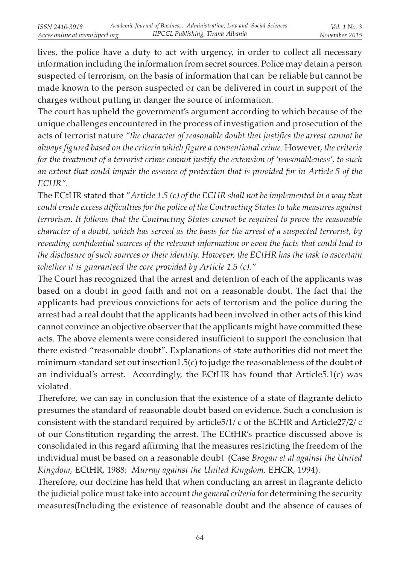lives, the police have a duty to act with urgency, in order to collect all necessary information including the information from secret sources. Police may detain a person suspected of terrorism, on the basis of information that can be reliable but cannot be made known to the person suspected or can be delivered in court in support of the charges without putting in danger the source of information.

The court has upheld the government's argument according to which because of the unique challenges encountered in the process of investigation and prosecution of the acts of terrorist nature "the character of reasonable doubt that justifies the arrest cannot be always figured based on the criteria which figure a conventional crime. However, the criteria for the treatment of a terrorist crime cannot justify the extension of 'reasonableness', to such an extent that could impair the essence of protection that is provided for in Article 5 of the ECHR".

The ECtHR stated that "Article 1.5 (c) of the ECHR shall not be implemented in a way that could create excess difficulties for the police of the Contracting States to take measures against terrorism. It follows that the Contracting States cannot be required to prove the reasonable character of a doubt, which has served as the basis for the arrest of a suspected terrorist, by revealing confidential sources of the relevant information or even the facts that could lead to the disclosure of such sources or their identity. However, the ECtHR has the task to ascertain whether it is guaranteed the core provided by Article 1.5 (c)."

The Court has recognized that the arrest and detention of each of the applicants was based on a doubt in good faith and not on a reasonable doubt. The fact that the applicants had previous convictions for acts of terrorism and the police during the arrest had a real doubt that the applicants had been involved in other acts of this kind cannot convince an objective observer that the applicants might have committed these acts. The above elements were considered insufficient to support the conclusion that there existed "reasonable doubt". Explanations of state authorities did not meet the minimum standard set out insection1.5(c) to judge the reasonableness of the doubt of an individual's arrest. Accordingly, the ECtHR has found that Article5.1(c) was violated.

Therefore, we can say in conclusion that the existence of a state of flagrante delicto presumes the standard of reasonable doubt based on evidence. Such a conclusion is consistent with the standard required by article5/1/ c of the ECHR and Article27/2/ c of our Constitution regarding the arrest. The ECtHR's practice discussed above is consolidated in this regard affirming that the measures restricting the freedom of the individual must be based on a reasonable doubt (Case Brogan et al against the United Kingdom, ECtHR, 1988; Murray against the United Kingdom, EHCR, 1994).

Therefore, our doctrine has held that when conducting an arrest in flagrante delicto the judicial police must take into account *the general criteria* for determining the security measures(Including the existence of reasonable doubt and the absence of causes of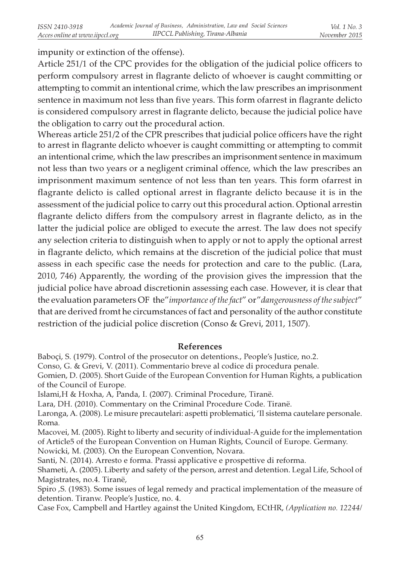impunity or extinction of the offense).

Article 251/1 of the CPC provides for the obligation of the judicial police officers to perform compulsory arrest in flagrante delicto of whoever is caught committing or attempting to commit an intentional crime, which the law prescribes an imprisonment sentence in maximum not less than five years. This form ofarrest in flagrante delicto is considered compulsory arrest in flagrante delicto, because the judicial police have the obligation to carry out the procedural action.

Whereas article 251/2 of the CPR prescribes that judicial police officers have the right to arrest in flagrante delicto whoever is caught committing or attempting to commit an intentional crime, which the law prescribes an imprisonment sentence in maximum not less than two years or a negligent criminal offence, which the law prescribes an imprisonment maximum sentence of not less than ten years. This form ofarrest in flagrante delicto is called optional arrest in flagrante delicto because it is in the assessment of the judicial police to carry out this procedural action. Optional arrestin flagrante delicto differs from the compulsory arrest in flagrante delicto, as in the latter the judicial police are obliged to execute the arrest. The law does not specify any selection criteria to distinguish when to apply or not to apply the optional arrest in flagrante delicto, which remains at the discretion of the judicial police that must assess in each specific case the needs for protection and care to the public. (Lara, 2010, 746) Apparently, the wording of the provision gives the impression that the judicial police have abroad discretionin assessing each case. However, it is clear that the evaluation parameters OF the"importance of the fact" or" dangerousness of the subject" that are derived fromt he circumstances of fact and personality of the author constitute restriction of the judicial police discretion (Conso & Grevi, 2011, 1507).

### References

Baboçi, S. (1979). Control of the prosecutor on detentions., People's Justice, no.2.

Conso, G. & Grevi, V. (2011). Commentario breve al codice di procedura penale.

Gomien, D. (2005). Short Guide of the European Convention for Human Rights, a publication of the Council of Europe.

Islami,H & Hoxha, A, Panda, I. (2007). Criminal Procedure, Tiranë.

Lara, DH. (2010). Commentary on the Criminal Procedure Code. Tiranë.

Laronga, A. (2008). Le misure precautelari: aspetti problematici, 'Il sistema cautelare personale. Roma.

Macovei, M. (2005). Right to liberty and security of individual-A guide for the implementation of Article5 of the European Convention on Human Rights, Council of Europe. Germany.

Nowicki, M. (2003). On the European Convention, Novara.

Santi, N. (2014). Arresto e forma. Prassi applicative e prospettive di reforma.

Shameti, A. (2005). Liberty and safety of the person, arrest and detention. Legal Life, School of Magistrates, no.4. Tiranë,

Spiro ,S. (1983). Some issues of legal remedy and practical implementation of the measure of detention. Tiranw. People's Justice, no. 4.

Case Fox, Campbell and Hartley against the United Kingdom, ECtHR, (Application no. 12244/